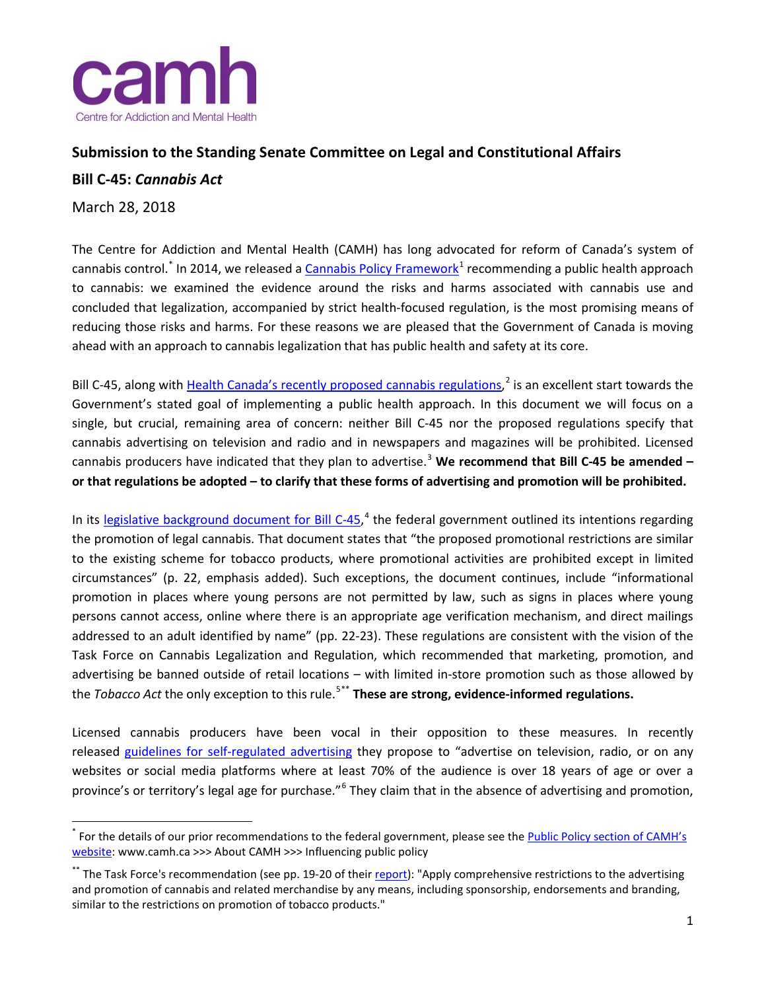

## **Submission to the Standing Senate Committee on Legal and Constitutional Affairs**

## **Bill C-45:** *Cannabis Act*

March 28, 2018

The Centre for Addiction and Mental Health (CAMH) has long advocated for reform of Canada's system of cannabis control.<sup>[\\*](#page-0-0)</sup> In 2014, we released a [Cannabis Policy Framework](http://www.camh.ca/en/hospital/about_camh/influencing_public_policy/Documents/CAMHCannabisPolicyFramework.pdf)<sup>[1](#page-2-0)</sup> recommending a public health approach to cannabis: we examined the evidence around the risks and harms associated with cannabis use and concluded that legalization, accompanied by strict health-focused regulation, is the most promising means of reducing those risks and harms. For these reasons we are pleased that the Government of Canada is moving ahead with an approach to cannabis legalization that has public health and safety at its core.

Bill C-45, along with [Health Canada's recently proposed cannabis regulations,](https://www.canada.ca/en/health-canada/services/publications/drugs-health-products/summary-comments-public-consultation-regulation-cannabis.html)<sup>[2](#page-2-1)</sup> is an excellent start towards the Government's stated goal of implementing a public health approach. In this document we will focus on a single, but crucial, remaining area of concern: neither Bill C-45 nor the proposed regulations specify that cannabis advertising on television and radio and in newspapers and magazines will be prohibited. Licensed cannabis producers have indicated that they plan to advertise. [3](#page-2-2) **We recommend that Bill C-45 be amended – or that regulations be adopted – to clarify that these forms of advertising and promotion will be prohibited.**

In its legislative background [document for Bill C-45,](http://www.justice.gc.ca/eng/cj-jp/marijuana/c45/c45.pdf)<sup>[4](#page-2-3)</sup> the federal government outlined its intentions regarding the promotion of legal cannabis. That document states that "the proposed promotional restrictions are similar to the existing scheme for tobacco products, where promotional activities are prohibited except in limited circumstances" (p. 22, emphasis added). Such exceptions, the document continues, include "informational promotion in places where young persons are not permitted by law, such as signs in places where young persons cannot access, online where there is an appropriate age verification mechanism, and direct mailings addressed to an adult identified by name" (pp. 22-23). These regulations are consistent with the vision of the Task Force on Cannabis Legalization and Regulation, which recommended that marketing, promotion, and advertising be banned outside of retail locations – with limited in-store promotion such as those allowed by the *Tobacco Act* the only exception to this rule.<sup>[5](#page-2-4)[\\*\\*](#page-0-1)</sup> These are strong, evidence-informed regulations.

Licensed cannabis producers have been vocal in their opposition to these measures. In recently released [guidelines for self-regulated advertising](https://static1.squarespace.com/static/554e6babe4b0261b84b9c43b/t/5a023ec1e2c483bbd05d2242/1510096579164/Guidelines+for+Cannabis+-+EN+-+Nov+6.pdf) they propose to "advertise on television, radio, or on any websites or social media platforms where at least 70% of the audience is over 18 years of age or over a province's or territory's legal age for purchase."<sup>[6](#page-2-5)</sup> They claim that in the absence of advertising and promotion,

<span id="page-0-0"></span>For the details of our prior recommendations to the federal government, please see the Public Policy section of CAMH's [website:](http://www.camh.ca/en/hospital/about_camh/influencing_public_policy/Pages/influencing_public_policy.aspx) www.camh.ca >>> About CAMH >>> Influencing public policy

<span id="page-0-1"></span><sup>\*\*</sup> The Task Force's recommendation (see pp. 19-20 of their [report\)](https://www.canada.ca/en/services/health/marijuana-cannabis/task-force-cannabis-legalization-regulation.html): "Apply comprehensive restrictions to the advertising and promotion of cannabis and related merchandise by any means, including sponsorship, endorsements and branding, similar to the restrictions on promotion of tobacco products."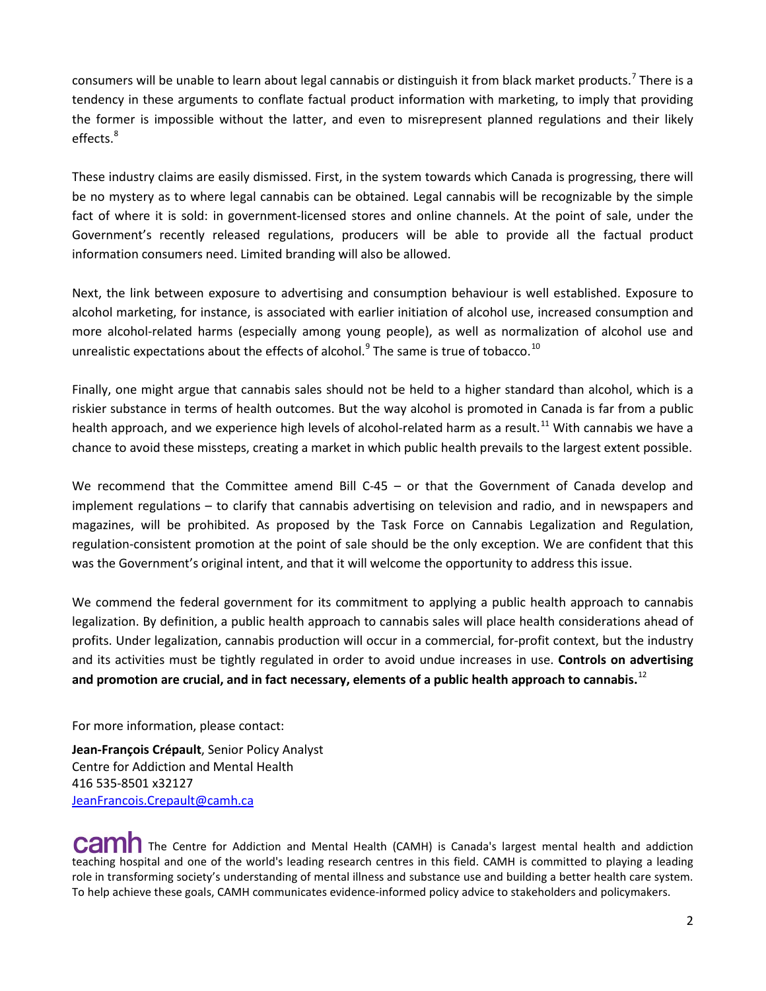consumers will be unable to learn about legal cannabis or distinguish it from black market products.<sup>[7](#page-2-6)</sup> There is a tendency in these arguments to conflate factual product information with marketing, to imply that providing the former is impossible without the latter, and even to misrepresent planned regulations and their likely effects.<sup>[8](#page-2-7)</sup>

These industry claims are easily dismissed. First, in the system towards which Canada is progressing, there will be no mystery as to where legal cannabis can be obtained. Legal cannabis will be recognizable by the simple fact of where it is sold: in government-licensed stores and online channels. At the point of sale, under the Government's recently released regulations, producers will be able to provide all the factual product information consumers need. Limited branding will also be allowed.

Next, the link between exposure to advertising and consumption behaviour is well established. Exposure to alcohol marketing, for instance, is associated with earlier initiation of alcohol use, increased consumption and more alcohol-related harms (especially among young people), as well as normalization of alcohol use and unrealistic expectations about the effects of alcohol. $9$  The same is true of tobacco.<sup>[10](#page-2-9)</sup>

Finally, one might argue that cannabis sales should not be held to a higher standard than alcohol, which is a riskier substance in terms of health outcomes. But the way alcohol is promoted in Canada is far from a public health approach, and we experience high levels of alcohol-related harm as a result.<sup>[11](#page-2-10)</sup> With cannabis we have a chance to avoid these missteps, creating a market in which public health prevails to the largest extent possible.

We recommend that the Committee amend Bill C-45 – or that the Government of Canada develop and implement regulations – to clarify that cannabis advertising on television and radio, and in newspapers and magazines, will be prohibited. As proposed by the Task Force on Cannabis Legalization and Regulation, regulation-consistent promotion at the point of sale should be the only exception. We are confident that this was the Government's original intent, and that it will welcome the opportunity to address this issue.

We commend the federal government for its commitment to applying a public health approach to cannabis legalization. By definition, a public health approach to cannabis sales will place health considerations ahead of profits. Under legalization, cannabis production will occur in a commercial, for-profit context, but the industry and its activities must be tightly regulated in order to avoid undue increases in use. **Controls on advertising and promotion are crucial, and in fact necessary, elements of a public health approach to cannabis.**[12](#page-2-11)

For more information, please contact:

**Jean-François Crépault**, Senior Policy Analyst Centre for Addiction and Mental Health 416 535-8501 x32127 [JeanFrancois.Crepault@camh.ca](mailto:JeanFrancois.Crepault@camh.ca)

CAMI The Centre for Addiction and Mental Health (CAMH) is Canada's largest mental health and addiction teaching hospital and one of the world's leading research centres in this field. CAMH is committed to playing a leading role in transforming society's understanding of mental illness and substance use and building a better health care system. To help achieve these goals, CAMH communicates evidence-informed policy advice to stakeholders and policymakers.